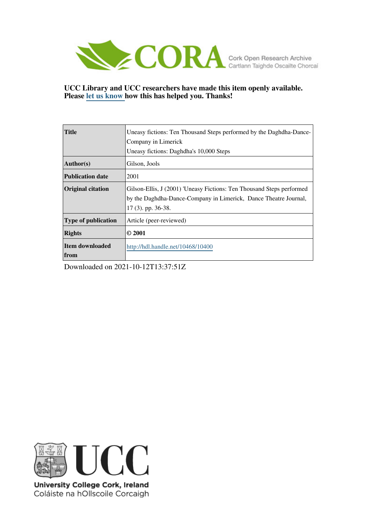

## **UCC Library and UCC researchers have made this item openly available. Please [let us know h](https://libguides.ucc.ie/openaccess/impact?suffix=10400&title=Uneasy fictions: Ten Thousand Steps performed by the Daghdha-Dance-Company in Limerick)ow this has helped you. Thanks!**

| <b>Title</b>               | Uneasy fictions: Ten Thousand Steps performed by the Daghdha-Dance-<br>Company in Limerick                                                                        |
|----------------------------|-------------------------------------------------------------------------------------------------------------------------------------------------------------------|
|                            | Uneasy fictions: Daghdha's 10,000 Steps                                                                                                                           |
| Author(s)                  | Gilson, Jools                                                                                                                                                     |
| <b>Publication date</b>    | 2001                                                                                                                                                              |
| <b>Original citation</b>   | Gilson-Ellis, J (2001) 'Uneasy Fictions: Ten Thousand Steps performed<br>by the Daghdha-Dance-Company in Limerick, Dance Theatre Journal,<br>$17(3)$ . pp. 36-38. |
| <b>Type of publication</b> | Article (peer-reviewed)                                                                                                                                           |
| <b>Rights</b>              | $\odot$ 2001                                                                                                                                                      |
| Item downloaded<br>from    | http://hdl.handle.net/10468/10400                                                                                                                                 |

Downloaded on 2021-10-12T13:37:51Z



University College Cork, Ireland Coláiste na hOllscoile Corcaigh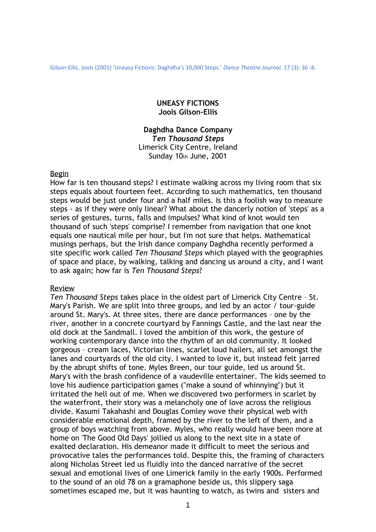Gilson-Ellis, Jools (2001) 'Uneasy Fictions: Daghdha's 10,000 Steps.' *Dance Theatre Journal.* 17 (3): 36 -8.

## **UNEASY FICTIONS Jools Gilson-Ellis**

# **Daghdha Dance Company** *Ten Thousand Steps* Limerick City Centre, Ireland Sunday 10th June, 2001

## Begin

How far is ten thousand steps? I estimate walking across my living room that six steps equals about fourteen feet. According to such mathematics, ten thousand steps would be just under four and a half miles. Is this a foolish way to measure steps - as if they were only linear? What about the dancerly notion of 'steps' as a series of gestures, turns, falls and impulses? What kind of knot would ten thousand of such 'steps' comprise? I remember from navigation that one knot equals one nautical mile per hour, but I'm not sure that helps. Mathematical musings perhaps, but the Irish dance company Daghdha recently performed a site specific work called *Ten Thousand Steps* which played with the geographies of space and place, by walking, talking and dancing us around a city, and I want to ask again; how far is *Ten Thousand Steps*?

#### Review

*Ten Thousand Steps* takes place in the oldest part of Limerick City Centre – St. Mary's Parish. We are split into three groups, and led by an actor / tour-guide around St. Mary's. At three sites, there are dance performances – one by the river, another in a concrete courtyard by Fannings Castle, and the last near the old dock at the Sandmall. I loved the ambition of this work, the gesture of working contemporary dance into the rhythm of an old community. It looked gorgeous – cream laces, Victorian lines, scarlet loud hailers, all set amongst the lanes and courtyards of the old city. I wanted to love it, but instead felt jarred by the abrupt shifts of tone. Myles Breen, our tour guide, led us around St. Mary's with the brash confidence of a vaudeville entertainer. The kids seemed to love his audience participation games ("make a sound of whinnying") but it irritated the hell out of me. When we discovered two performers in scarlet by the waterfront, their story was a melancholy one of love across the religious divide. Kasumi Takahashi and Douglas Comley wove their physical web with considerable emotional depth, framed by the river to the left of them, and a group of boys watching from above. Myles, who really would have been more at home on 'The Good Old Days' jollied us along to the next site in a state of exalted declaration. His demeanor made it difficult to meet the serious and provocative tales the performances told. Despite this, the framing of characters along Nicholas Street led us fluidly into the danced narrative of the secret sexual and emotional lives of one Limerick family in the early 1900s. Performed to the sound of an old 78 on a gramaphone beside us, this slippery saga sometimes escaped me, but it was haunting to watch, as twins and sisters and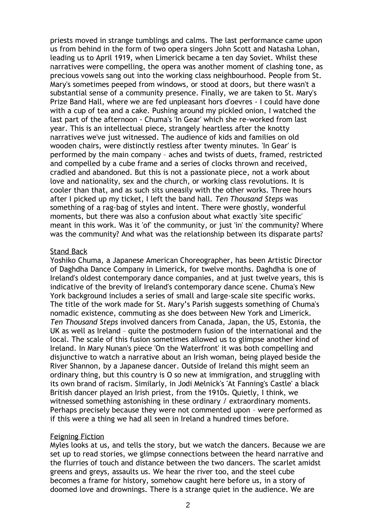priests moved in strange tumblings and calms. The last performance came upon us from behind in the form of two opera singers John Scott and Natasha Lohan, leading us to April 1919, when Limerick became a ten day Soviet. Whilst these narratives were compelling, the opera was another moment of clashing tone, as precious vowels sang out into the working class neighbourhood. People from St. Mary's sometimes peeped from windows, or stood at doors, but there wasn't a substantial sense of a community presence. Finally, we are taken to St. Mary's Prize Band Hall, where we are fed unpleasant hors d'oevres - I could have done with a cup of tea and a cake. Pushing around my pickled onion, I watched the last part of the afternoon - Chuma's 'In Gear' which she re-worked from last year. This is an intellectual piece, strangely heartless after the knotty narratives we've just witnessed. The audience of kids and families on old wooden chairs, were distinctly restless after twenty minutes. 'In Gear' is performed by the main company – aches and twists of duets, framed, restricted and compelled by a cube frame and a series of clocks thrown and received, cradled and abandoned. But this is not a passionate piece, not a work about love and nationality, sex and the church, or working class revolutions. It is cooler than that, and as such sits uneasily with the other works. Three hours after I picked up my ticket, I left the band hall. *Ten Thousand Steps* was something of a rag-bag of styles and intent. There were ghostly, wonderful moments, but there was also a confusion about what exactly 'site specific' meant in this work. Was it 'of' the community, or just 'in' the community? Where was the community? And what was the relationship between its disparate parts?

## Stand Back

Yoshiko Chuma, a Japanese American Choreographer, has been Artistic Director of Daghdha Dance Company in Limerick, for twelve months. Daghdha is one of Ireland's oldest contemporary dance companies, and at just twelve years, this is indicative of the brevity of Ireland's contemporary dance scene. Chuma's New York background includes a series of small and large-scale site specific works. The title of the work made for St. Mary's Parish suggests something of Chuma's nomadic existence, commuting as she does between New York and Limerick. *Ten Thousand Steps* involved dancers from Canada, Japan, the US, Estonia, the UK as well as Ireland – quite the postmodern fusion of the international and the local. The scale of this fusion sometimes allowed us to glimpse another kind of Ireland. In Mary Nunan's piece 'On the Waterfront' it was both compelling and disjunctive to watch a narrative about an Irish woman, being played beside the River Shannon, by a Japanese dancer. Outside of Ireland this might seem an ordinary thing, but this country is O so new at immigration, and struggling with its own brand of racism. Similarly, in Jodi Melnick's 'At Fanning's Castle' a black British dancer played an Irish priest, from the 1910s. Quietly, I think, we witnessed something astonishing in these ordinary / extraordinary moments. Perhaps precisely because they were not commented upon – were performed as if this were a thing we had all seen in Ireland a hundred times before.

#### Feigning Fiction

Myles looks at us, and tells the story, but we watch the dancers. Because we are set up to read stories, we glimpse connections between the heard narrative and the flurries of touch and distance between the two dancers. The scarlet amidst greens and greys, assaults us. We hear the river too, and the steel cube becomes a frame for history, somehow caught here before us, in a story of doomed love and drownings. There is a strange quiet in the audience. We are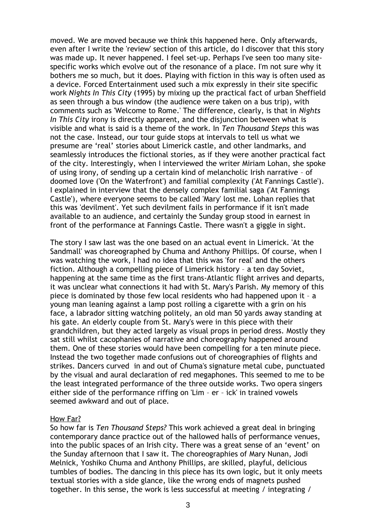moved. We are moved because we think this happened here. Only afterwards, even after I write the 'review' section of this article, do I discover that this story was made up. It never happened. I feel set-up. Perhaps I've seen too many sitespecific works which evolve out of the resonance of a place. I'm not sure why it bothers me so much, but it does. Playing with fiction in this way is often used as a device. Forced Entertainment used such a mix expressly in their site specific work *Nights In This City* (1995) by mixing up the practical fact of urban Sheffield as seen through a bus window (the audience were taken on a bus trip), with comments such as 'Welcome to Rome.' The difference, clearly, is that in *Nights In This City* irony is directly apparent, and the disjunction between what is visible and what is said is a theme of the work. In *Ten Thousand Steps* this was not the case. Instead, our tour guide stops at intervals to tell us what we presume are 'real' stories about Limerick castle, and other landmarks, and seamlessly introduces the fictional stories, as if they were another practical fact of the city. Interestingly, when I interviewed the writer Miriam Lohan, she spoke of using irony, of sending up a certain kind of melancholic Irish narrative – of doomed love ('On the Waterfront') and familial complexity ('At Fannings Castle'). I explained in interview that the densely complex familial saga ('At Fannings Castle'), where everyone seems to be called 'Mary' lost me. Lohan replies that this was 'devilment'. Yet such devilment fails in performance if it isn't made available to an audience, and certainly the Sunday group stood in earnest in front of the performance at Fannings Castle. There wasn't a giggle in sight.

The story I saw last was the one based on an actual event in Limerick. 'At the Sandmall' was choreographed by Chuma and Anthony Phillips. Of course, when I was watching the work, I had no idea that this was 'for real' and the others fiction. Although a compelling piece of Limerick history – a ten day Soviet, happening at the same time as the first trans-Atlantic flight arrives and departs, it was unclear what connections it had with St. Mary's Parish. My memory of this piece is dominated by those few local residents who had happened upon it – a young man leaning against a lamp post rolling a cigarette with a grin on his face, a labrador sitting watching politely, an old man 50 yards away standing at his gate. An elderly couple from St. Mary's were in this piece with their grandchildren, but they acted largely as visual props in period dress. Mostly they sat still whilst cacophanies of narrative and choreography happened around them. One of these stories would have been compelling for a ten minute piece. Instead the two together made confusions out of choreographies of flights and strikes. Dancers curved in and out of Chuma's signature metal cube, punctuated by the visual and aural declaration of red megaphones. This seemed to me to be the least integrated performance of the three outside works. Two opera singers either side of the performance riffing on 'Lim – er – ick' in trained vowels seemed awkward and out of place.

#### How Far?

So how far is *Ten Thousand Steps?* This work achieved a great deal in bringing contemporary dance practice out of the hallowed halls of performance venues, into the public spaces of an Irish city. There was a great sense of an 'event' on the Sunday afternoon that I saw it. The choreographies of Mary Nunan, Jodi Melnick, Yoshiko Chuma and Anthony Phillips, are skilled, playful, delicious tumbles of bodies. The dancing in this piece has its own logic, but it only meets textual stories with a side glance, like the wrong ends of magnets pushed together. In this sense, the work is less successful at meeting / integrating /